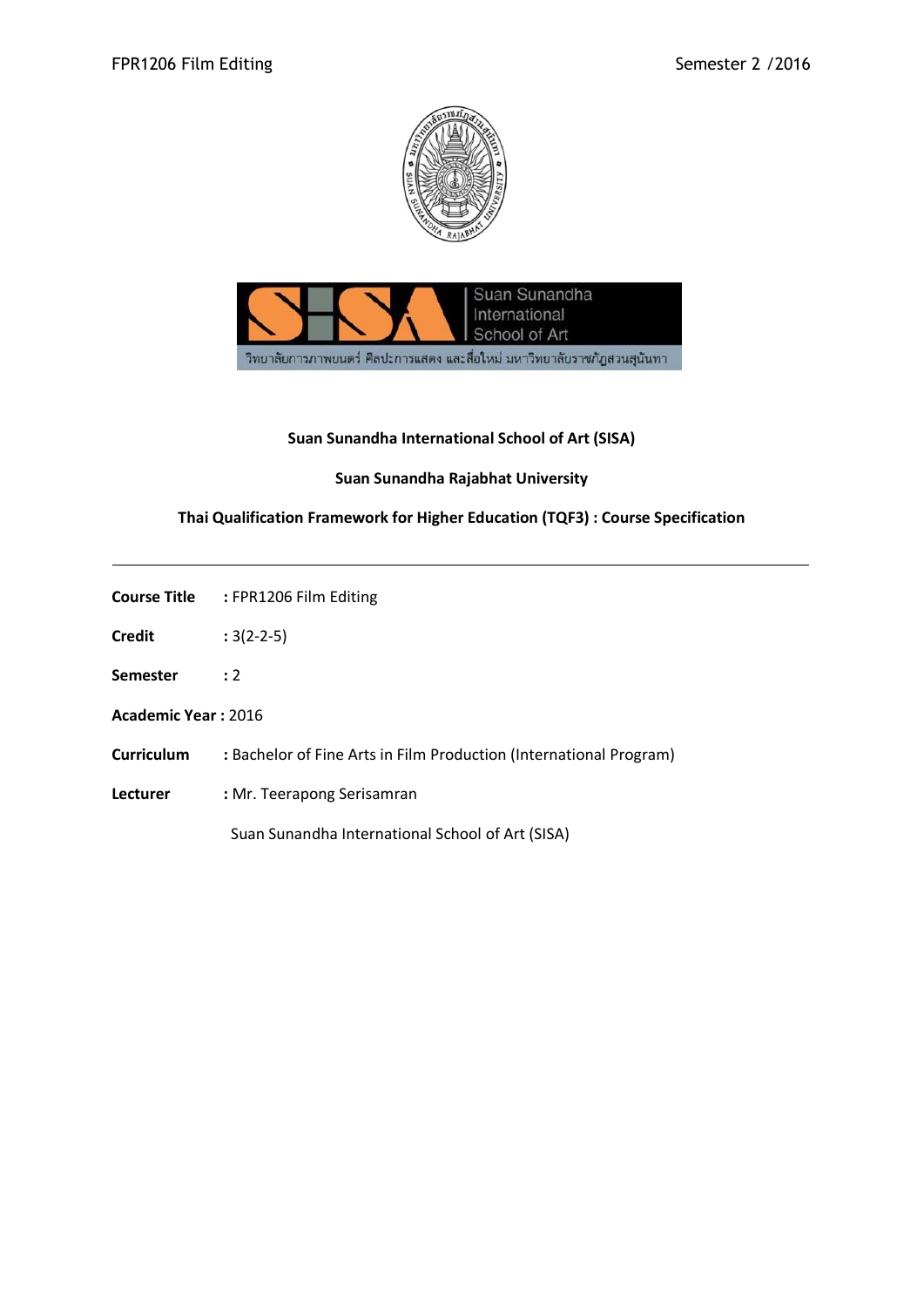



# **Suan Sunandha International School of Art (SISA)**

### **Suan Sunandha Rajabhat University**

# **Thai Qualification Framework for Higher Education (TQF3) : Course Specification**

| <b>Course Title</b> | : FPR1206 Film Editing |
|---------------------|------------------------|
|                     |                        |

- **Credit :** 3(2-2-5)
- **Semester :** 2
- **Academic Year :** 2016
- **Curriculum :** Bachelor of Fine Arts in Film Production (International Program)
- **Lecturer :** Mr. Teerapong Serisamran

Suan Sunandha International School of Art (SISA)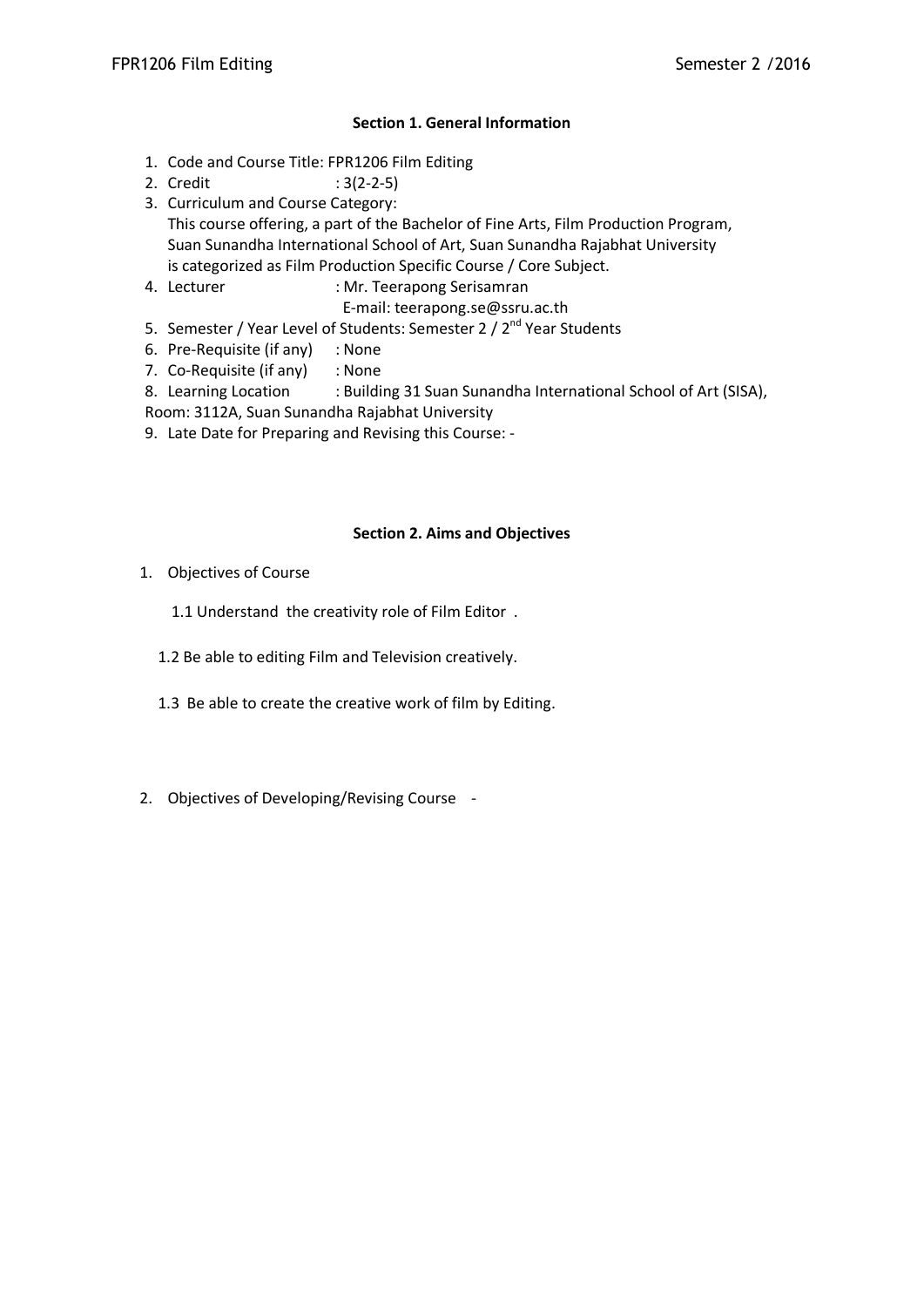## **Section 1. General Information**

- 1. Code and Course Title: FPR1206 Film Editing
- 2. Credit : 3(2-2-5)
- 3. Curriculum and Course Category: This course offering, a part of the Bachelor of Fine Arts, Film Production Program, Suan Sunandha International School of Art, Suan Sunandha Rajabhat University is categorized as Film Production Specific Course / Core Subject.
- 4. Lecturer : Mr. Teerapong Serisamran
	- E-mail: teerapong.se@ssru.ac.th
- 5. Semester / Year Level of Students: Semester 2 / 2<sup>nd</sup> Year Students
- 6. Pre-Requisite (if any) : None
- 7. Co-Requisite (if any) : None
- 8. Learning Location : Building 31 Suan Sunandha International School of Art (SISA),
- Room: 3112A, Suan Sunandha Rajabhat University
- 9. Late Date for Preparing and Revising this Course: -

# **Section 2. Aims and Objectives**

- 1. Objectives of Course
	- 1.1 Understand the creativity role of Film Editor .
	- 1.2 Be able to editing Film and Television creatively.
	- 1.3 Be able to create the creative work of film by Editing.
- 2. Objectives of Developing/Revising Course -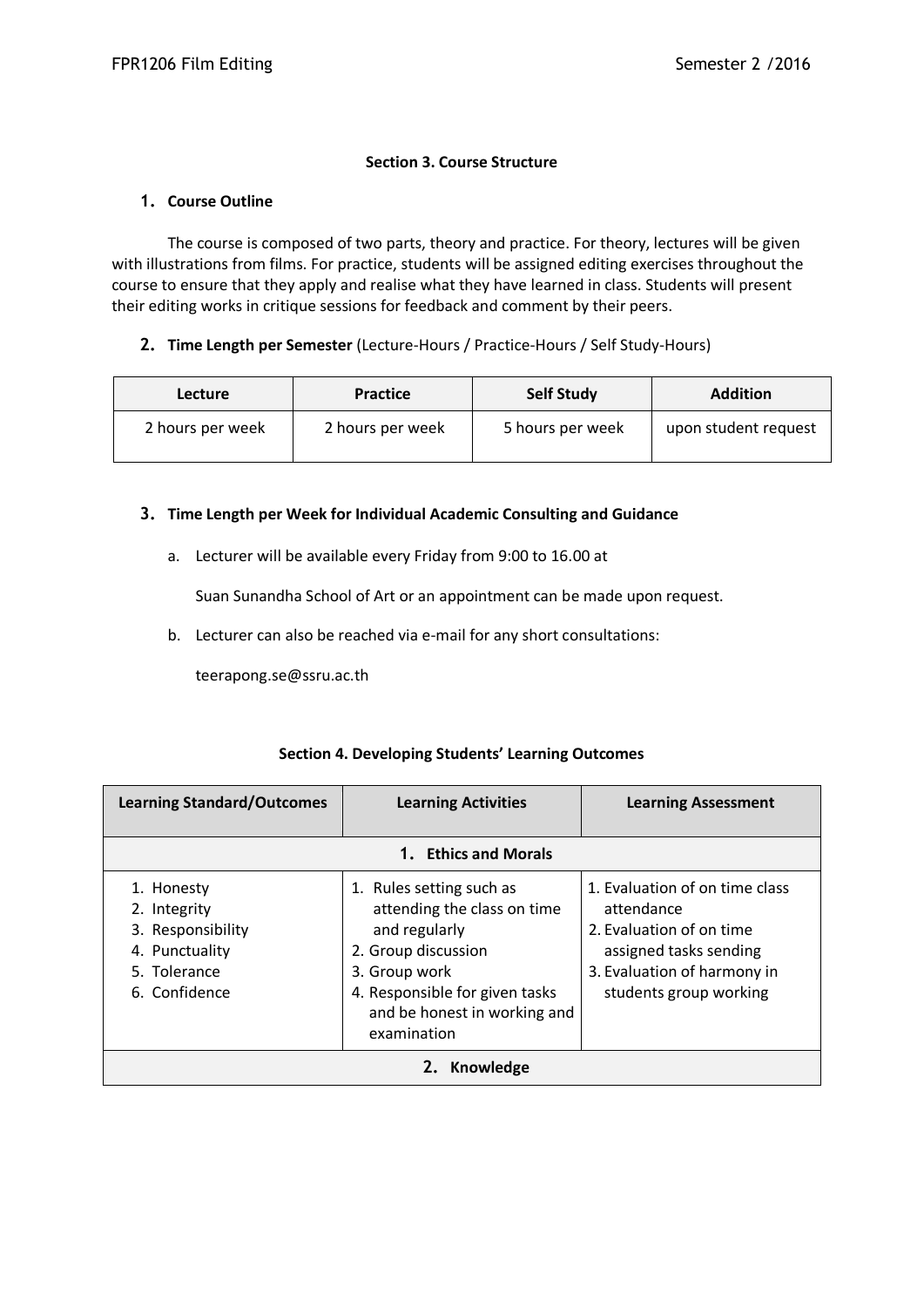## **Section 3. Course Structure**

#### **1. Course Outline**

The course is composed of two parts, theory and practice. For theory, lectures will be given with illustrations from films. For practice, students will be assigned editing exercises throughout the course to ensure that they apply and realise what they have learned in class. Students will present their editing works in critique sessions for feedback and comment by their peers.

#### **2. Time Length per Semester** (Lecture-Hours / Practice-Hours / Self Study-Hours)

| <b>Lecture</b>   | <b>Practice</b>  | <b>Self Study</b> | <b>Addition</b>      |
|------------------|------------------|-------------------|----------------------|
| 2 hours per week | 2 hours per week | 5 hours per week  | upon student request |

#### **3. Time Length per Week for Individual Academic Consulting and Guidance**

a. Lecturer will be available every Friday from 9:00 to 16.00 at

Suan Sunandha School of Art or an appointment can be made upon request.

b. Lecturer can also be reached via e-mail for any short consultations:

teerapong.se@ssru.ac.th

# **Section 4. Developing Students' Learning Outcomes**

| <b>Learning Standard/Outcomes</b>                                                                  | <b>Learning Activities</b>                                                                                                                                                                        | <b>Learning Assessment</b>                                                                                                                                  |  |
|----------------------------------------------------------------------------------------------------|---------------------------------------------------------------------------------------------------------------------------------------------------------------------------------------------------|-------------------------------------------------------------------------------------------------------------------------------------------------------------|--|
|                                                                                                    | 1. Ethics and Morals                                                                                                                                                                              |                                                                                                                                                             |  |
| 1. Honesty<br>2. Integrity<br>3. Responsibility<br>4. Punctuality<br>5. Tolerance<br>6. Confidence | 1. Rules setting such as<br>attending the class on time<br>and regularly<br>2. Group discussion<br>3. Group work<br>4. Responsible for given tasks<br>and be honest in working and<br>examination | 1. Evaluation of on time class<br>attendance<br>2. Evaluation of on time<br>assigned tasks sending<br>3. Evaluation of harmony in<br>students group working |  |
| Knowledge<br>2.                                                                                    |                                                                                                                                                                                                   |                                                                                                                                                             |  |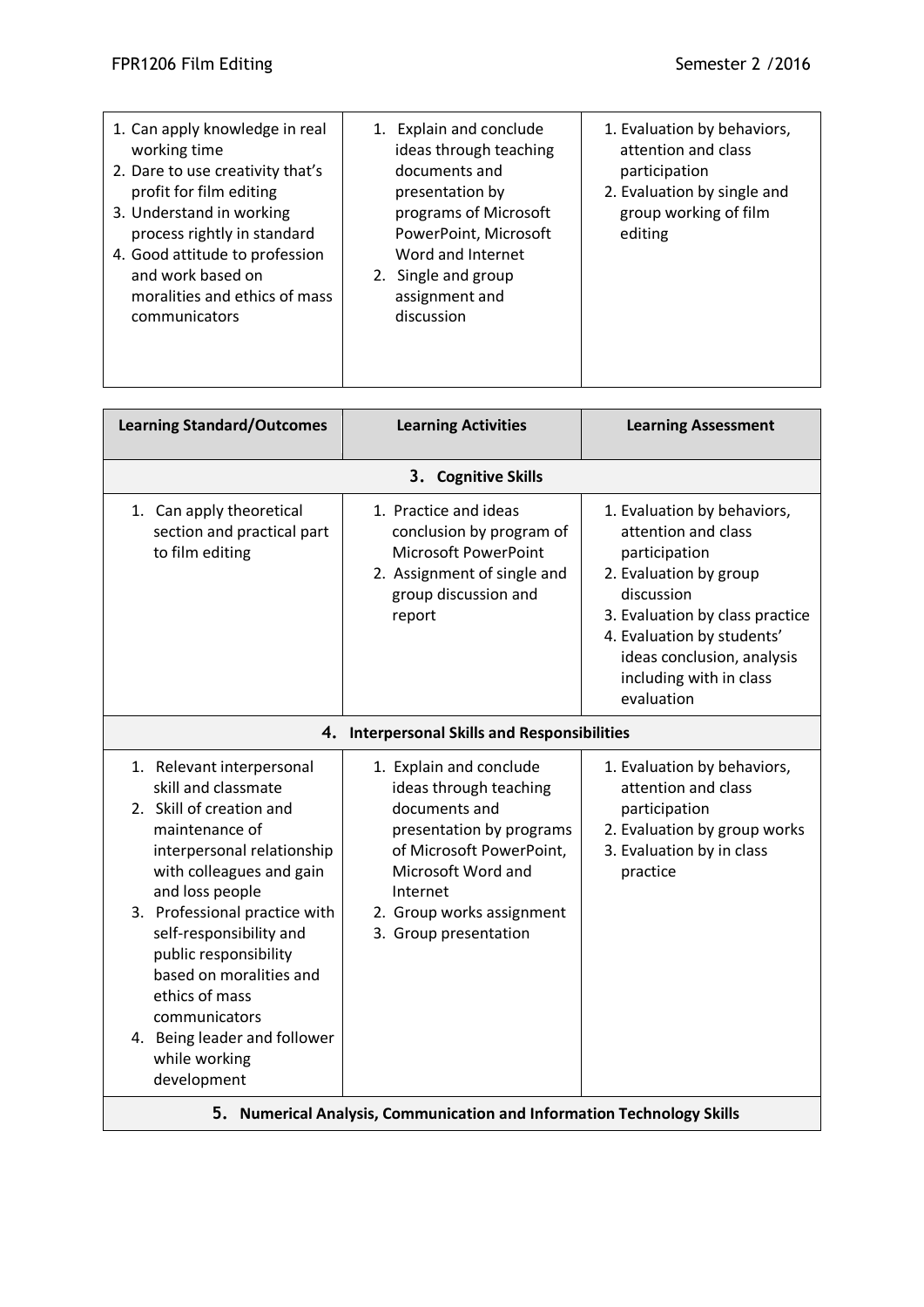| 1. Can apply knowledge in real<br>working time<br>2. Dare to use creativity that's<br>profit for film editing<br>3. Understand in working<br>process rightly in standard<br>4. Good attitude to profession<br>and work based on<br>moralities and ethics of mass<br>communicators | 1. Explain and conclude<br>ideas through teaching<br>documents and<br>presentation by<br>programs of Microsoft<br>PowerPoint, Microsoft<br>Word and Internet<br>2. Single and group<br>assignment and<br>discussion | 1. Evaluation by behaviors,<br>attention and class<br>participation<br>2. Evaluation by single and<br>group working of film<br>editing |
|-----------------------------------------------------------------------------------------------------------------------------------------------------------------------------------------------------------------------------------------------------------------------------------|---------------------------------------------------------------------------------------------------------------------------------------------------------------------------------------------------------------------|----------------------------------------------------------------------------------------------------------------------------------------|
| <b>Learning Standard/Outcomes</b>                                                                                                                                                                                                                                                 | <b>Learning Activities</b>                                                                                                                                                                                          | <b>Learning Assessment</b>                                                                                                             |

|                                                                                                                                                                                                                                                                                                                                                                                                | 3. Cognitive Skills                                                                                                                                                                                                |                                                                                                                                                                                                                                                     |  |  |
|------------------------------------------------------------------------------------------------------------------------------------------------------------------------------------------------------------------------------------------------------------------------------------------------------------------------------------------------------------------------------------------------|--------------------------------------------------------------------------------------------------------------------------------------------------------------------------------------------------------------------|-----------------------------------------------------------------------------------------------------------------------------------------------------------------------------------------------------------------------------------------------------|--|--|
| 1. Can apply theoretical<br>section and practical part<br>to film editing                                                                                                                                                                                                                                                                                                                      | 1. Practice and ideas<br>conclusion by program of<br><b>Microsoft PowerPoint</b><br>2. Assignment of single and<br>group discussion and<br>report                                                                  | 1. Evaluation by behaviors,<br>attention and class<br>participation<br>2. Evaluation by group<br>discussion<br>3. Evaluation by class practice<br>4. Evaluation by students'<br>ideas conclusion, analysis<br>including with in class<br>evaluation |  |  |
|                                                                                                                                                                                                                                                                                                                                                                                                | 4. Interpersonal Skills and Responsibilities                                                                                                                                                                       |                                                                                                                                                                                                                                                     |  |  |
| 1. Relevant interpersonal<br>skill and classmate<br>2. Skill of creation and<br>maintenance of<br>interpersonal relationship<br>with colleagues and gain<br>and loss people<br>3. Professional practice with<br>self-responsibility and<br>public responsibility<br>based on moralities and<br>ethics of mass<br>communicators<br>4. Being leader and follower<br>while working<br>development | 1. Explain and conclude<br>ideas through teaching<br>documents and<br>presentation by programs<br>of Microsoft PowerPoint,<br>Microsoft Word and<br>Internet<br>2. Group works assignment<br>3. Group presentation | 1. Evaluation by behaviors,<br>attention and class<br>participation<br>2. Evaluation by group works<br>3. Evaluation by in class<br>practice                                                                                                        |  |  |
|                                                                                                                                                                                                                                                                                                                                                                                                | 5. Numerical Analysis, Communication and Information Technology Skills                                                                                                                                             |                                                                                                                                                                                                                                                     |  |  |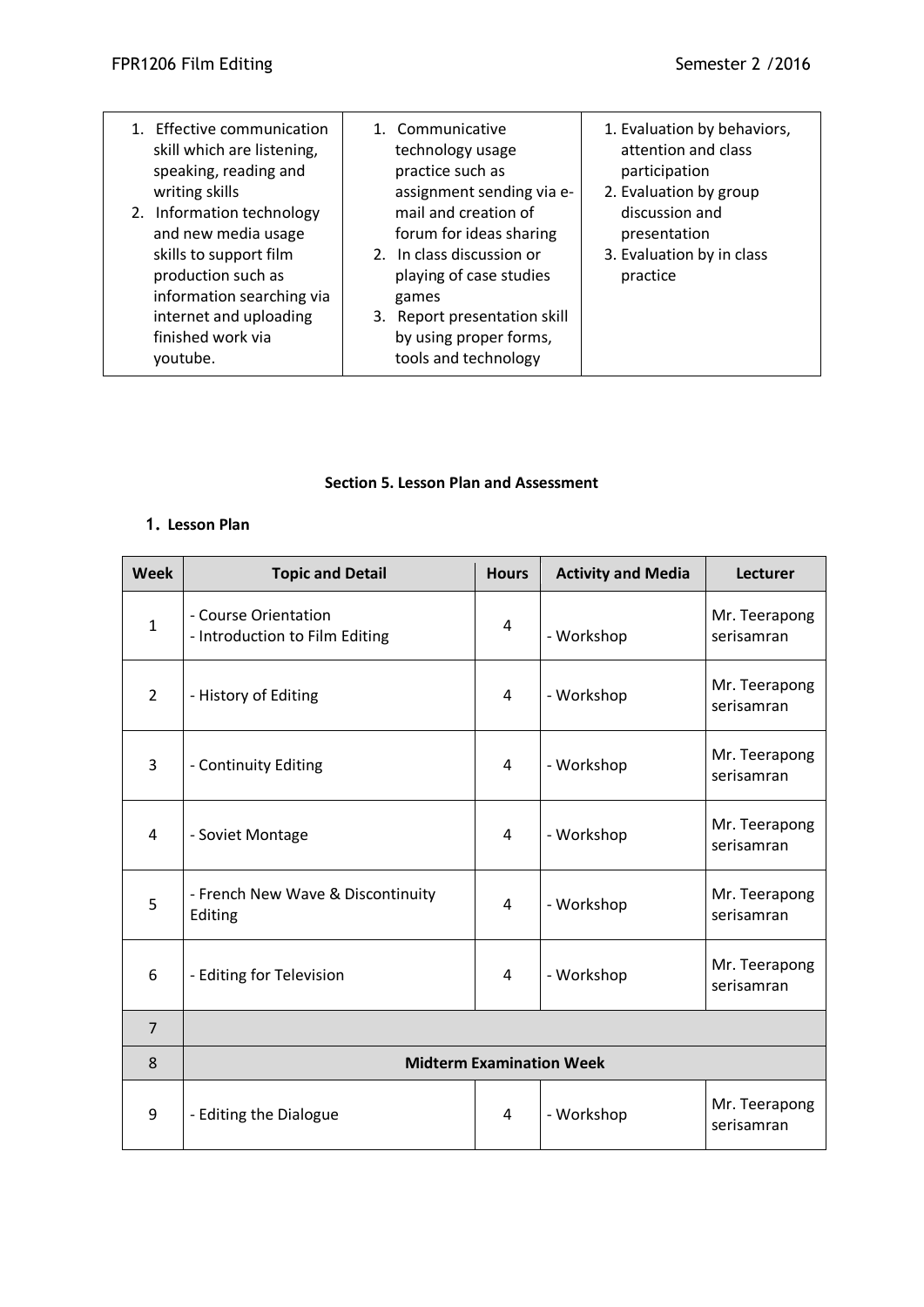| 1. Effective communication<br>skill which are listening,<br>speaking, reading and<br>writing skills<br>2. Information technology<br>and new media usage<br>skills to support film<br>production such as<br>information searching via<br>internet and uploading<br>finished work via<br>voutube. | 1. Communicative<br>technology usage<br>practice such as<br>assignment sending via e-<br>mail and creation of<br>forum for ideas sharing<br>2. In class discussion or<br>playing of case studies<br>games<br>3. Report presentation skill<br>by using proper forms,<br>tools and technology | 1. Evaluation by behaviors,<br>attention and class<br>participation<br>2. Evaluation by group<br>discussion and<br>presentation<br>3. Evaluation by in class<br>practice |
|-------------------------------------------------------------------------------------------------------------------------------------------------------------------------------------------------------------------------------------------------------------------------------------------------|---------------------------------------------------------------------------------------------------------------------------------------------------------------------------------------------------------------------------------------------------------------------------------------------|--------------------------------------------------------------------------------------------------------------------------------------------------------------------------|
|-------------------------------------------------------------------------------------------------------------------------------------------------------------------------------------------------------------------------------------------------------------------------------------------------|---------------------------------------------------------------------------------------------------------------------------------------------------------------------------------------------------------------------------------------------------------------------------------------------|--------------------------------------------------------------------------------------------------------------------------------------------------------------------------|

### **Section 5. Lesson Plan and Assessment**

# **1. Lesson Plan**

| <b>Week</b>    | <b>Topic and Detail</b>                                | <b>Hours</b> | <b>Activity and Media</b> | Lecturer                    |
|----------------|--------------------------------------------------------|--------------|---------------------------|-----------------------------|
| $\mathbf 1$    | - Course Orientation<br>- Introduction to Film Editing | 4            | - Workshop                | Mr. Teerapong<br>serisamran |
| $\overline{2}$ | - History of Editing                                   | 4            | - Workshop                | Mr. Teerapong<br>serisamran |
| 3              | - Continuity Editing                                   | 4            | - Workshop                | Mr. Teerapong<br>serisamran |
| $\overline{4}$ | - Soviet Montage                                       | 4            | - Workshop                | Mr. Teerapong<br>serisamran |
| 5              | - French New Wave & Discontinuity<br>Editing           | 4            | - Workshop                | Mr. Teerapong<br>serisamran |
| 6              | - Editing for Television                               | 4            | - Workshop                | Mr. Teerapong<br>serisamran |
| $\overline{7}$ |                                                        |              |                           |                             |
| 8              | <b>Midterm Examination Week</b>                        |              |                           |                             |
| 9              | - Editing the Dialogue                                 | 4            | - Workshop                | Mr. Teerapong<br>serisamran |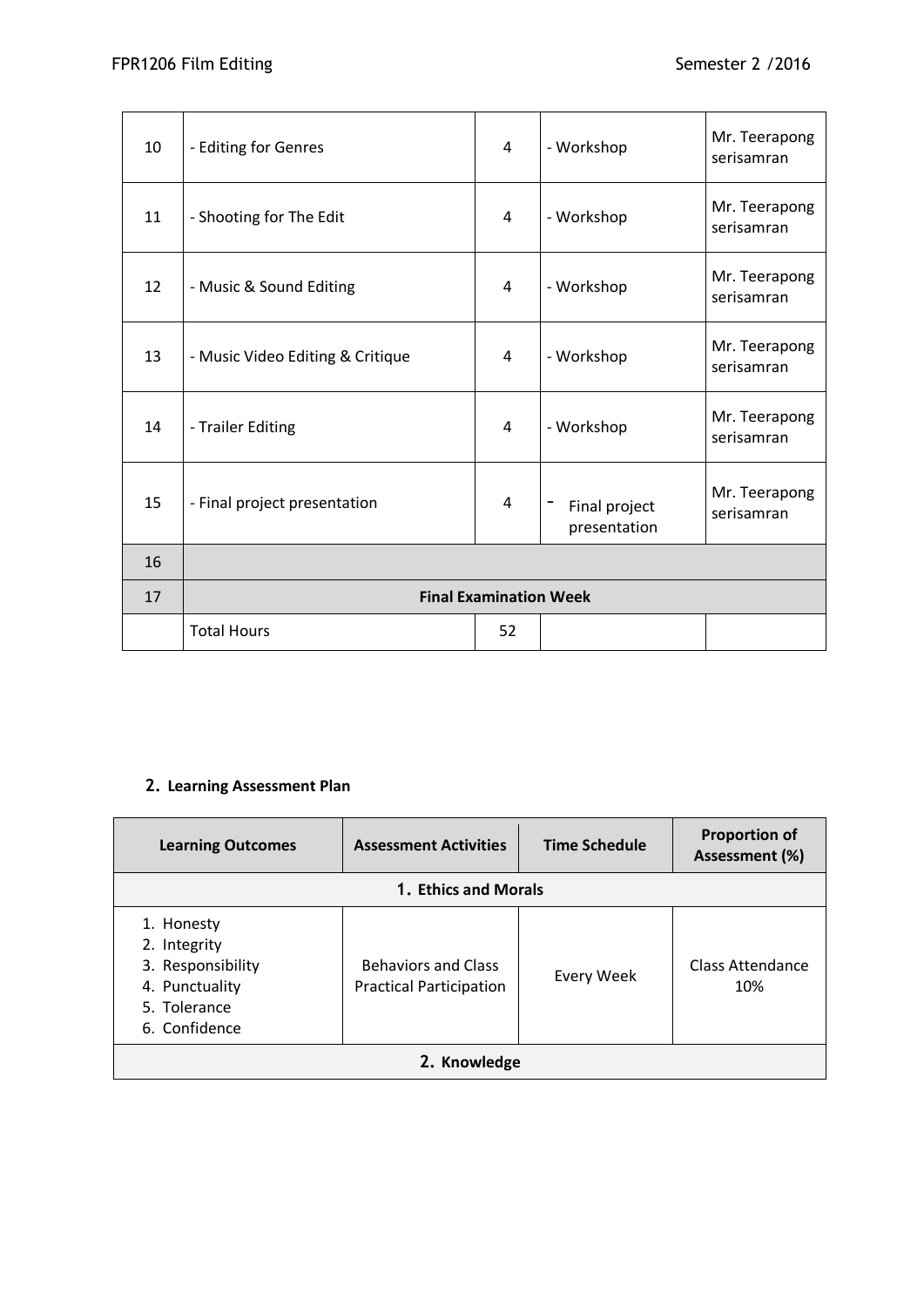| 10 | - Editing for Genres             | 4  | - Workshop                    | Mr. Teerapong<br>serisamran |
|----|----------------------------------|----|-------------------------------|-----------------------------|
| 11 | - Shooting for The Edit          | 4  | - Workshop                    | Mr. Teerapong<br>serisamran |
| 12 | - Music & Sound Editing          | 4  | - Workshop                    | Mr. Teerapong<br>serisamran |
| 13 | - Music Video Editing & Critique | 4  | - Workshop                    | Mr. Teerapong<br>serisamran |
| 14 | - Trailer Editing                | 4  | - Workshop                    | Mr. Teerapong<br>serisamran |
| 15 | - Final project presentation     | 4  | Final project<br>presentation | Mr. Teerapong<br>serisamran |
| 16 |                                  |    |                               |                             |
| 17 | <b>Final Examination Week</b>    |    |                               |                             |
|    | <b>Total Hours</b>               | 52 |                               |                             |

# **2. Learning Assessment Plan**

| <b>Learning Outcomes</b>                                                                           | <b>Assessment Activities</b>                                 | <b>Time Schedule</b> | <b>Proportion of</b><br>Assessment (%) |
|----------------------------------------------------------------------------------------------------|--------------------------------------------------------------|----------------------|----------------------------------------|
| 1. Ethics and Morals                                                                               |                                                              |                      |                                        |
| 1. Honesty<br>2. Integrity<br>3. Responsibility<br>4. Punctuality<br>5. Tolerance<br>6. Confidence | <b>Behaviors and Class</b><br><b>Practical Participation</b> | Every Week           | Class Attendance<br>10%                |
| 2. Knowledge                                                                                       |                                                              |                      |                                        |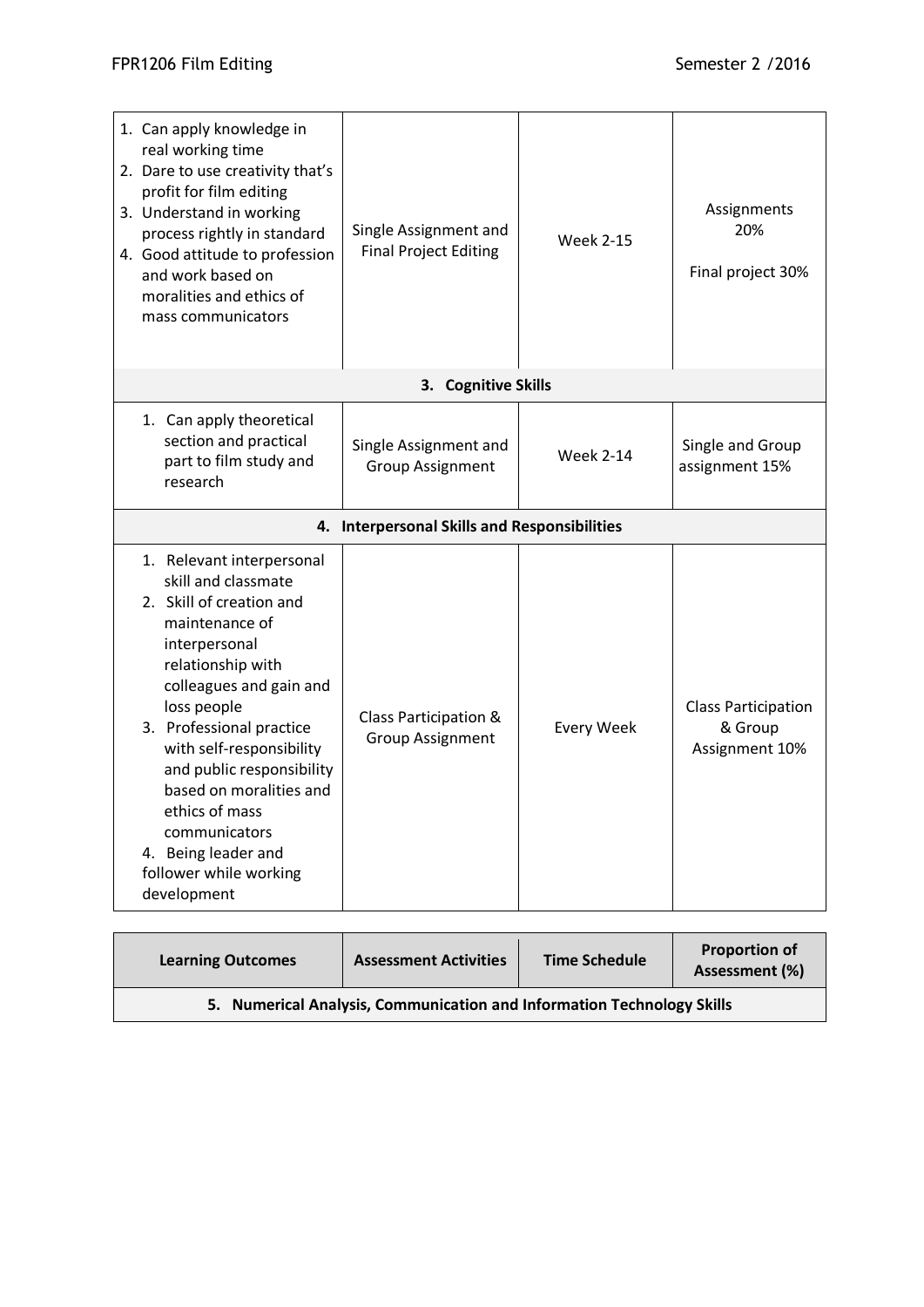| 1. Can apply knowledge in<br>real working time<br>2. Dare to use creativity that's<br>profit for film editing<br>3. Understand in working<br>process rightly in standard<br>4. Good attitude to profession<br>and work based on<br>moralities and ethics of<br>mass communicators                                                                                                                 | Single Assignment and<br><b>Final Project Editing</b> | <b>Week 2-15</b>  | Assignments<br>20%<br>Final project 30%                 |
|---------------------------------------------------------------------------------------------------------------------------------------------------------------------------------------------------------------------------------------------------------------------------------------------------------------------------------------------------------------------------------------------------|-------------------------------------------------------|-------------------|---------------------------------------------------------|
|                                                                                                                                                                                                                                                                                                                                                                                                   | 3. Cognitive Skills                                   |                   |                                                         |
| 1. Can apply theoretical<br>section and practical<br>part to film study and<br>research                                                                                                                                                                                                                                                                                                           | Single Assignment and<br><b>Group Assignment</b>      | <b>Week 2-14</b>  | Single and Group<br>assignment 15%                      |
|                                                                                                                                                                                                                                                                                                                                                                                                   | 4. Interpersonal Skills and Responsibilities          |                   |                                                         |
| 1. Relevant interpersonal<br>skill and classmate<br>2. Skill of creation and<br>maintenance of<br>interpersonal<br>relationship with<br>colleagues and gain and<br>loss people<br>3. Professional practice<br>with self-responsibility<br>and public responsibility<br>based on moralities and<br>ethics of mass<br>communicators<br>4. Being leader and<br>follower while working<br>development | Class Participation &<br><b>Group Assignment</b>      | <b>Every Week</b> | <b>Class Participation</b><br>& Group<br>Assignment 10% |

| <b>Learning Outcomes</b>                                               | <b>Assessment Activities</b> | <b>Time Schedule</b> | <b>Proportion of</b><br>Assessment (%) |
|------------------------------------------------------------------------|------------------------------|----------------------|----------------------------------------|
| 5. Numerical Analysis, Communication and Information Technology Skills |                              |                      |                                        |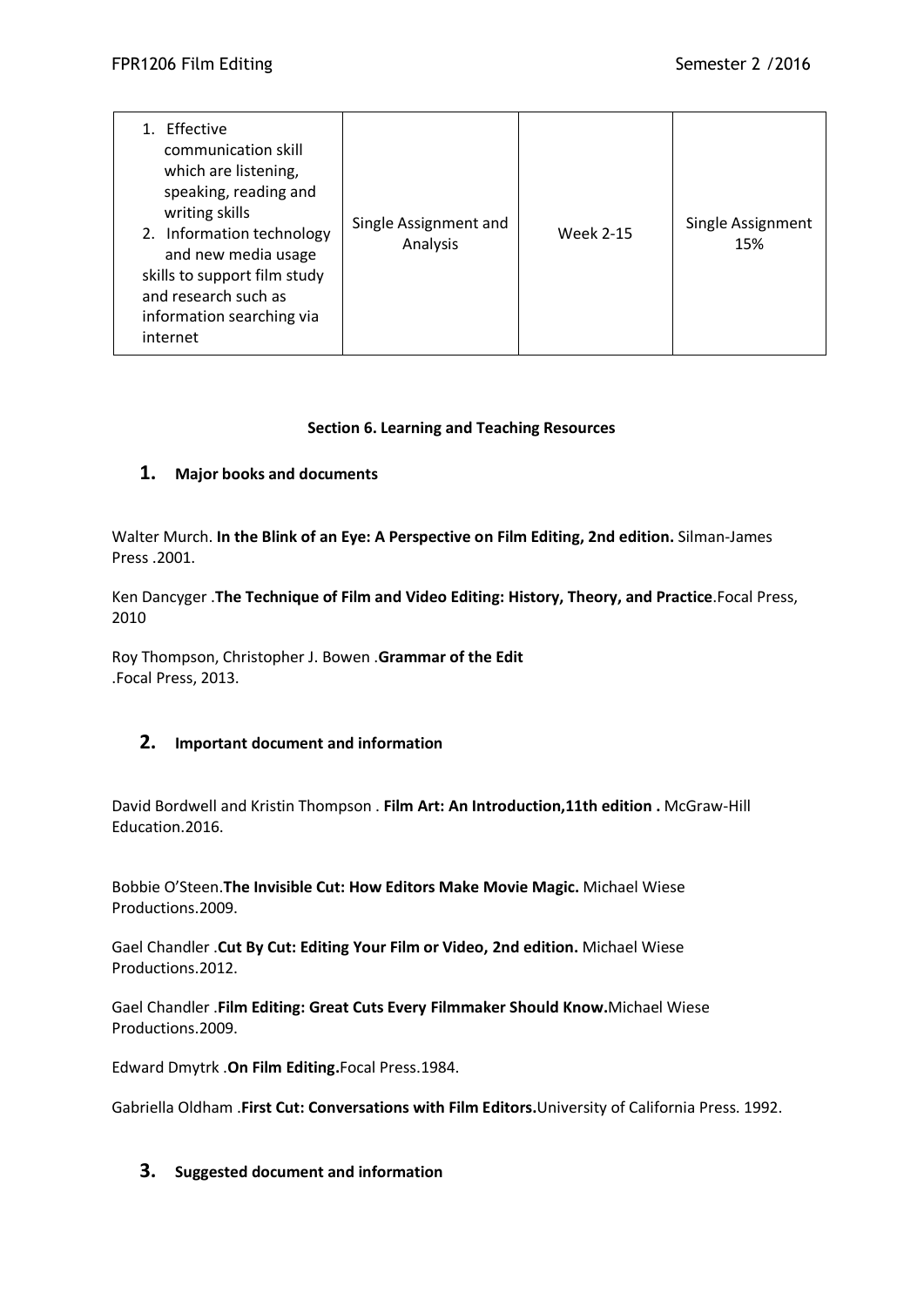| Effective<br>communication skill<br>which are listening,<br>speaking, reading and<br>writing skills<br>2. Information technology<br>and new media usage<br>skills to support film study<br>and research such as<br>information searching via<br>internet | Single Assignment and<br>Analysis | <b>Week 2-15</b> | Single Assignment<br>15% |
|----------------------------------------------------------------------------------------------------------------------------------------------------------------------------------------------------------------------------------------------------------|-----------------------------------|------------------|--------------------------|
|----------------------------------------------------------------------------------------------------------------------------------------------------------------------------------------------------------------------------------------------------------|-----------------------------------|------------------|--------------------------|

## **Section 6. Learning and Teaching Resources**

# **1. Major books and documents**

Walter Murch. **In the Blink of an Eye: A Perspective on Film Editing, 2nd edition.** Silman-James Press .2001.

Ken Dancyger .**The Technique of Film and Video Editing: History, Theory, and Practice**.Focal Press, 2010

Roy Thompson, Christopher J. Bowen .**Grammar of the Edit** .Focal Press, 2013.

# **2. Important document and information**

David Bordwell and Kristin Thompson . **Film Art: An Introduction,11th edition .** McGraw-Hill Education.2016.

Bobbie O'Steen.**The Invisible Cut: How Editors Make Movie Magic.** Michael Wiese Productions.2009.

Gael Chandler .**Cut By Cut: Editing Your Film or Video, 2nd edition.** Michael Wiese Productions.2012.

Gael Chandler .**Film Editing: Great Cuts Every Filmmaker Should Know.**Michael Wiese Productions.2009.

Edward Dmytrk .**On Film Editing.**Focal Press.1984.

Gabriella Oldham .**First Cut: Conversations with Film Editors.**University of California Press. 1992.

#### **3. Suggested document and information**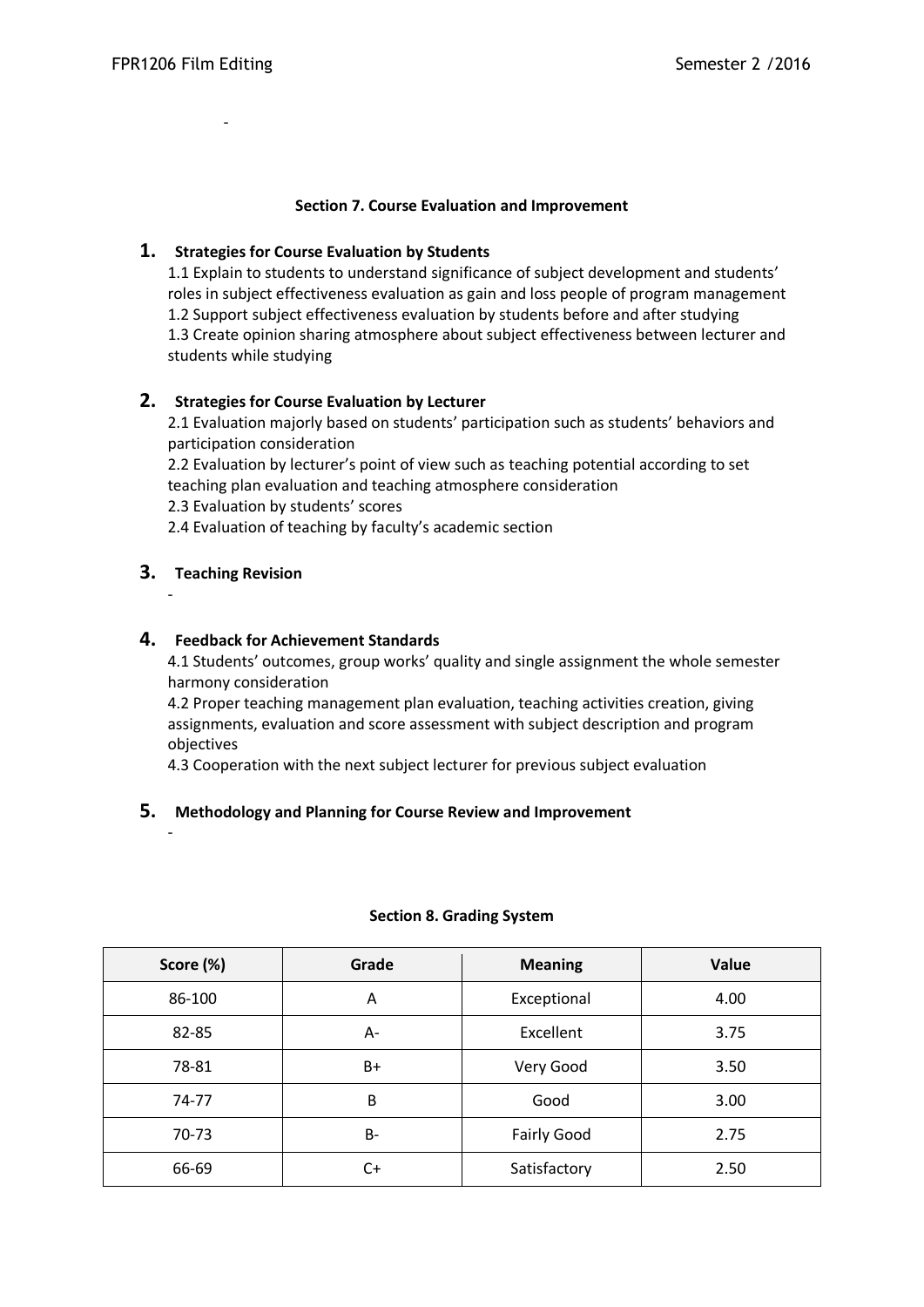-

#### **Section 7. Course Evaluation and Improvement**

## **1. Strategies for Course Evaluation by Students**

1.1 Explain to students to understand significance of subject development and students' roles in subject effectiveness evaluation as gain and loss people of program management 1.2 Support subject effectiveness evaluation by students before and after studying 1.3 Create opinion sharing atmosphere about subject effectiveness between lecturer and students while studying

# **2. Strategies for Course Evaluation by Lecturer**

2.1 Evaluation majorly based on students' participation such as students' behaviors and participation consideration

2.2 Evaluation by lecturer's point of view such as teaching potential according to set teaching plan evaluation and teaching atmosphere consideration

2.3 Evaluation by students' scores

2.4 Evaluation of teaching by faculty's academic section

# **3. Teaching Revision**

-

-

#### **4. Feedback for Achievement Standards**

4.1 Students' outcomes, group works' quality and single assignment the whole semester harmony consideration

4.2 Proper teaching management plan evaluation, teaching activities creation, giving assignments, evaluation and score assessment with subject description and program objectives

4.3 Cooperation with the next subject lecturer for previous subject evaluation

# **5. Methodology and Planning for Course Review and Improvement**

| Score (%) | Grade | <b>Meaning</b>     | Value |
|-----------|-------|--------------------|-------|
| 86-100    | A     | Exceptional        | 4.00  |
| 82-85     | А-    | Excellent          | 3.75  |
| 78-81     | B+    | Very Good          | 3.50  |
| 74-77     | B     | Good               | 3.00  |
| 70-73     | B-    | <b>Fairly Good</b> | 2.75  |
| 66-69     | C+    | Satisfactory       | 2.50  |

#### **Section 8. Grading System**